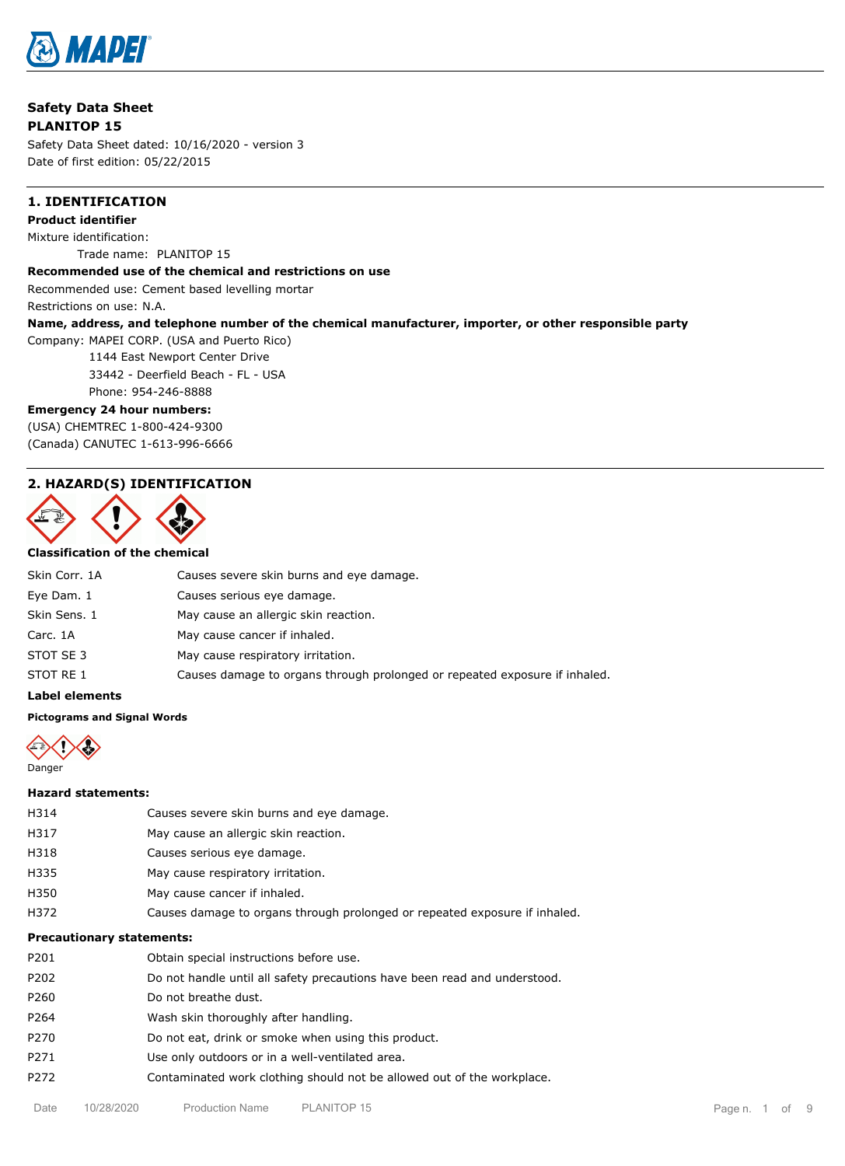

**Safety Data Sheet PLANITOP 15**

Safety Data Sheet dated: 10/16/2020 - version 3 Date of first edition: 05/22/2015

## **1. IDENTIFICATION**

**Product identifier** Mixture identification: Trade name: PLANITOP 15

#### **Recommended use of the chemical and restrictions on use**

Recommended use: Cement based levelling mortar

Restrictions on use: N.A.

### **Name, address, and telephone number of the chemical manufacturer, importer, or other responsible party**

Company: MAPEI CORP. (USA and Puerto Rico)

1144 East Newport Center Drive

33442 - Deerfield Beach - FL - USA

Phone: 954-246-8888

### **Emergency 24 hour numbers:**

(USA) CHEMTREC 1-800-424-9300 (Canada) CANUTEC 1-613-996-6666

## **2. HAZARD(S) IDENTIFICATION**



## **Classification of the chemical**

| Skin Corr. 1A | Causes severe skin burns and eye damage.                                   |
|---------------|----------------------------------------------------------------------------|
| Eye Dam. 1    | Causes serious eye damage.                                                 |
| Skin Sens. 1  | May cause an allergic skin reaction.                                       |
| Carc. 1A      | May cause cancer if inhaled.                                               |
| STOT SE 3     | May cause respiratory irritation.                                          |
| STOT RE 1     | Causes damage to organs through prolonged or repeated exposure if inhaled. |
|               |                                                                            |

#### **Label elements**

#### **Pictograms and Signal Words**



#### **Hazard statements:**

| <b>Precautionary statements:</b> |                                                                            |  |  |
|----------------------------------|----------------------------------------------------------------------------|--|--|
| H372                             | Causes damage to organs through prolonged or repeated exposure if inhaled. |  |  |
| H350                             | May cause cancer if inhaled.                                               |  |  |
| H335                             | May cause respiratory irritation.                                          |  |  |
| H318                             | Causes serious eye damage.                                                 |  |  |
| H317                             | May cause an allergic skin reaction.                                       |  |  |
| H314                             | Causes severe skin burns and eye damage.                                   |  |  |
|                                  |                                                                            |  |  |

| P201 | Obtain special instructions before use.                                   |
|------|---------------------------------------------------------------------------|
| P202 | Do not handle until all safety precautions have been read and understood. |
| P260 | Do not breathe dust.                                                      |
| P264 | Wash skin thoroughly after handling.                                      |
| P270 | Do not eat, drink or smoke when using this product.                       |
| P271 | Use only outdoors or in a well-ventilated area.                           |
| P272 | Contaminated work clothing should not be allowed out of the workplace.    |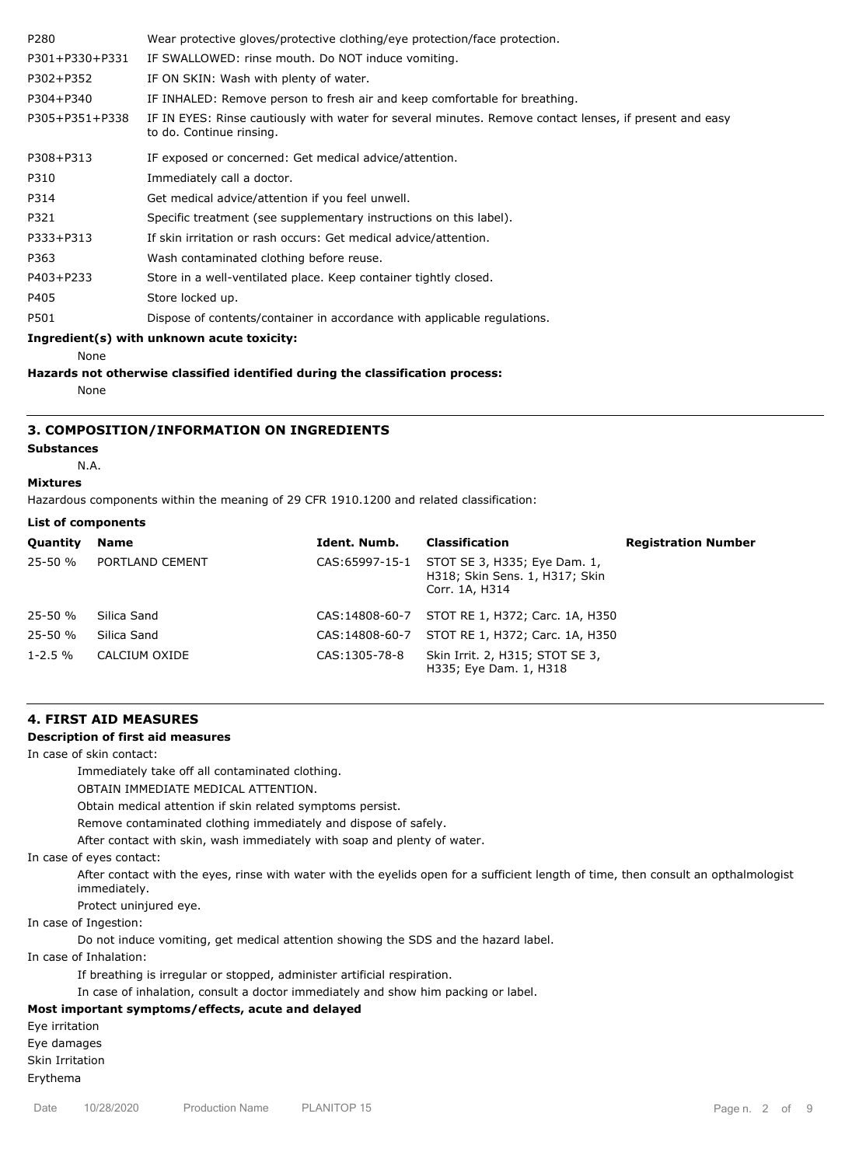| P280           | Wear protective gloves/protective clothing/eye protection/face protection.                                                          |
|----------------|-------------------------------------------------------------------------------------------------------------------------------------|
| P301+P330+P331 | IF SWALLOWED: rinse mouth. Do NOT induce vomiting.                                                                                  |
| P302+P352      | IF ON SKIN: Wash with plenty of water.                                                                                              |
| P304+P340      | IF INHALED: Remove person to fresh air and keep comfortable for breathing.                                                          |
| P305+P351+P338 | IF IN EYES: Rinse cautiously with water for several minutes. Remove contact lenses, if present and easy<br>to do. Continue rinsing. |
| P308+P313      | IF exposed or concerned: Get medical advice/attention.                                                                              |
| P310           | Immediately call a doctor.                                                                                                          |
| P314           | Get medical advice/attention if you feel unwell.                                                                                    |
| P321           | Specific treatment (see supplementary instructions on this label).                                                                  |
| P333+P313      | If skin irritation or rash occurs: Get medical advice/attention.                                                                    |
| P363           | Wash contaminated clothing before reuse.                                                                                            |
| P403+P233      | Store in a well-ventilated place. Keep container tightly closed.                                                                    |
| P405           | Store locked up.                                                                                                                    |
| P501           | Dispose of contents/container in accordance with applicable regulations.                                                            |
|                | Ingredient(s) with unknown acute toxicity:                                                                                          |

None

**Hazards not otherwise classified identified during the classification process:**

None

## **3. COMPOSITION/INFORMATION ON INGREDIENTS**

## **Substances**

N.A.

## **Mixtures**

Hazardous components within the meaning of 29 CFR 1910.1200 and related classification:

|  |  |  | <b>List of components</b> |
|--|--|--|---------------------------|
|--|--|--|---------------------------|

| <b>Quantity</b> | <b>Name</b>     | Ident. Numb.    | Classification                                                                   | <b>Registration Number</b> |
|-----------------|-----------------|-----------------|----------------------------------------------------------------------------------|----------------------------|
| $25 - 50 %$     | PORTLAND CEMENT | CAS:65997-15-1  | STOT SE 3, H335; Eye Dam. 1,<br>H318; Skin Sens. 1, H317; Skin<br>Corr. 1A, H314 |                            |
| $25 - 50 %$     | Silica Sand     | CAS:14808-60-7  | STOT RE 1, H372; Carc. 1A, H350                                                  |                            |
| $25 - 50 %$     | Silica Sand     | CAS: 14808-60-7 | STOT RE 1, H372; Carc. 1A, H350                                                  |                            |
| $1 - 2.5 \%$    | CALCIUM OXIDE   | CAS: 1305-78-8  | Skin Irrit. 2, H315; STOT SE 3,<br>H335; Eye Dam. 1, H318                        |                            |

## **4. FIRST AID MEASURES**

## **Description of first aid measures**

In case of skin contact:

Immediately take off all contaminated clothing.

OBTAIN IMMEDIATE MEDICAL ATTENTION.

Obtain medical attention if skin related symptoms persist.

Remove contaminated clothing immediately and dispose of safely.

After contact with skin, wash immediately with soap and plenty of water.

In case of eyes contact:

After contact with the eyes, rinse with water with the eyelids open for a sufficient length of time, then consult an opthalmologist immediately.

Protect uninjured eye.

In case of Ingestion:

Do not induce vomiting, get medical attention showing the SDS and the hazard label.

In case of Inhalation:

If breathing is irregular or stopped, administer artificial respiration.

In case of inhalation, consult a doctor immediately and show him packing or label.

### **Most important symptoms/effects, acute and delayed**

Eye irritation

Eye damages

Skin Irritation

Erythema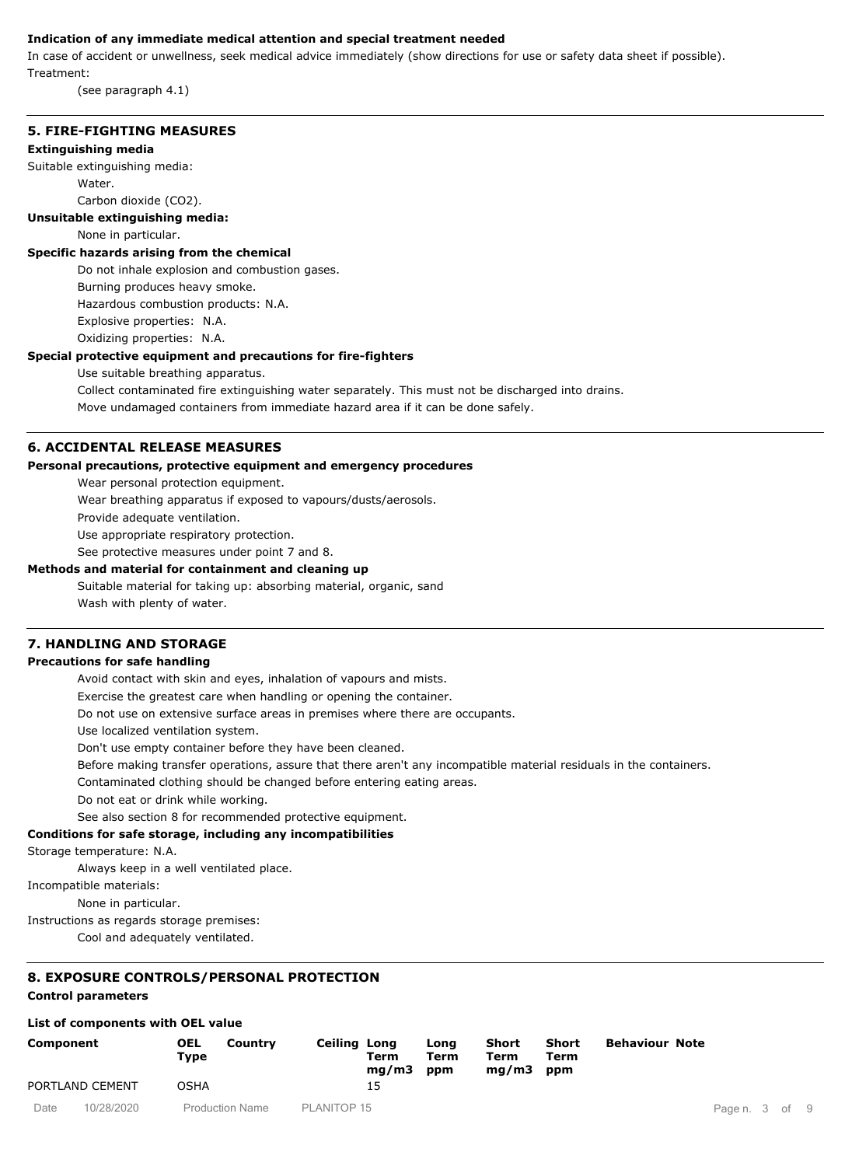#### **Indication of any immediate medical attention and special treatment needed**

In case of accident or unwellness, seek medical advice immediately (show directions for use or safety data sheet if possible). Treatment:

(see paragraph 4.1)

### **5. FIRE-FIGHTING MEASURES**

#### **Extinguishing media**

Suitable extinguishing media:

Water.

Carbon dioxide (CO2).

#### **Unsuitable extinguishing media:**

None in particular.

#### **Specific hazards arising from the chemical**

Do not inhale explosion and combustion gases.

Burning produces heavy smoke.

Hazardous combustion products: N.A.

Explosive properties: N.A.

Oxidizing properties: N.A.

## **Special protective equipment and precautions for fire-fighters**

Use suitable breathing apparatus.

Collect contaminated fire extinguishing water separately. This must not be discharged into drains. Move undamaged containers from immediate hazard area if it can be done safely.

## **6. ACCIDENTAL RELEASE MEASURES**

#### **Personal precautions, protective equipment and emergency procedures**

Wear personal protection equipment.

Wear breathing apparatus if exposed to vapours/dusts/aerosols.

Provide adequate ventilation.

Use appropriate respiratory protection.

See protective measures under point 7 and 8.

## **Methods and material for containment and cleaning up**

Suitable material for taking up: absorbing material, organic, sand Wash with plenty of water.

## **7. HANDLING AND STORAGE**

#### **Precautions for safe handling**

Avoid contact with skin and eyes, inhalation of vapours and mists.

Exercise the greatest care when handling or opening the container.

Do not use on extensive surface areas in premises where there are occupants.

Use localized ventilation system.

Don't use empty container before they have been cleaned.

Before making transfer operations, assure that there aren't any incompatible material residuals in the containers.

Contaminated clothing should be changed before entering eating areas.

Do not eat or drink while working.

See also section 8 for recommended protective equipment.

#### **Conditions for safe storage, including any incompatibilities**

Storage temperature: N.A.

Always keep in a well ventilated place.

Incompatible materials:

None in particular.

Instructions as regards storage premises:

Cool and adequately ventilated.

## **8. EXPOSURE CONTROLS/PERSONAL PROTECTION**

## **Control parameters**

#### **List of components with OEL value**

| Component |                 | OEL<br>Country<br>Type | Ceiling Long | Term<br>mq/m3 | Lona<br>Term<br>ppm | Short<br>Term<br>mq/m3 | Short<br>Term<br>ppm | <b>Behaviour Note</b> |                |  |  |
|-----------|-----------------|------------------------|--------------|---------------|---------------------|------------------------|----------------------|-----------------------|----------------|--|--|
|           | PORTLAND CEMENT | OSHA                   |              | 15            |                     |                        |                      |                       |                |  |  |
| Date      | 10/28/2020      | <b>Production Name</b> | PLANITOP 15  |               |                     |                        |                      |                       | Page n. 3 of 9 |  |  |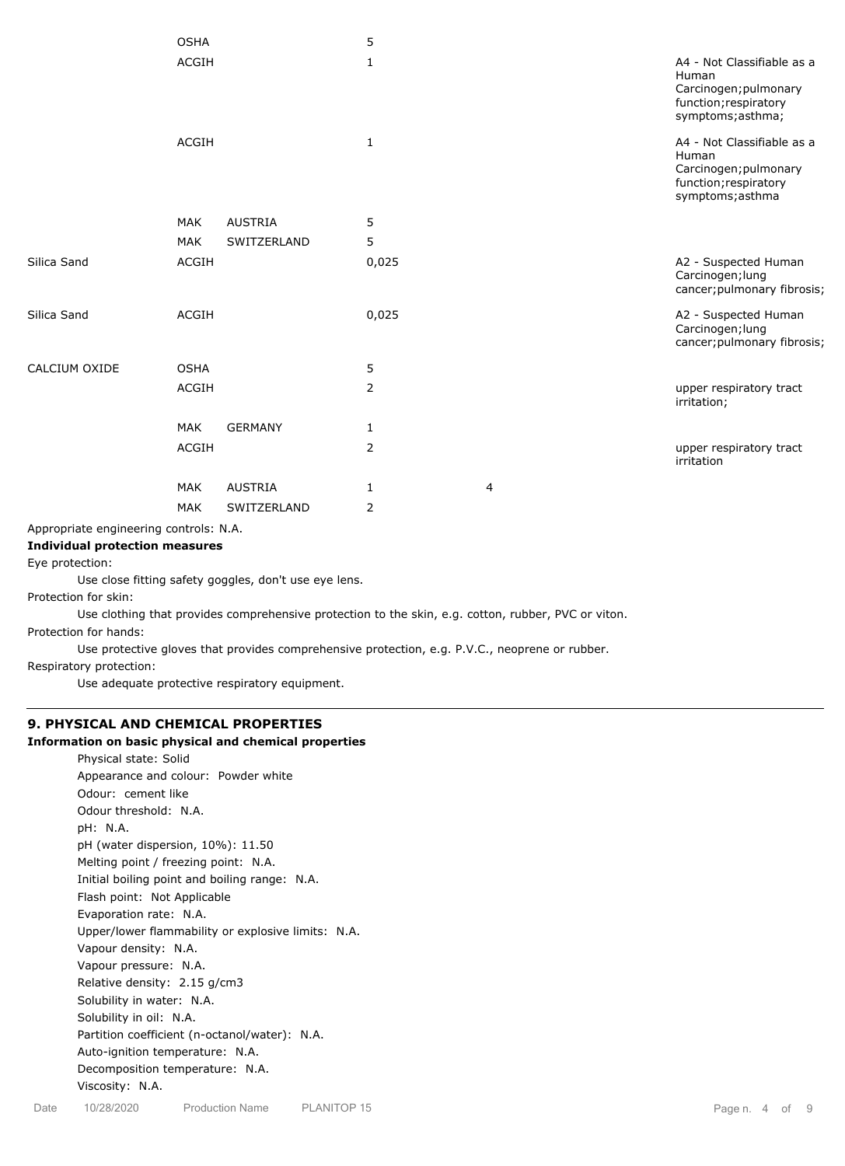|               | <b>OSHA</b>  |                | 5     |   |                                                                                                            |
|---------------|--------------|----------------|-------|---|------------------------------------------------------------------------------------------------------------|
|               | <b>ACGIH</b> |                | 1     |   | A4 - Not Classifiable as a<br>Human<br>Carcinogen; pulmonary<br>function; respiratory<br>symptoms; asthma; |
|               | <b>ACGIH</b> |                | 1     |   | A4 - Not Classifiable as a<br>Human<br>Carcinogen; pulmonary<br>function; respiratory<br>symptoms; asthma  |
|               | <b>MAK</b>   | <b>AUSTRIA</b> | 5     |   |                                                                                                            |
|               | <b>MAK</b>   | SWITZERLAND    | 5     |   |                                                                                                            |
| Silica Sand   | <b>ACGIH</b> |                | 0,025 |   | A2 - Suspected Human<br>Carcinogen; lung<br>cancer; pulmonary fibrosis;                                    |
| Silica Sand   | <b>ACGIH</b> |                | 0,025 |   | A2 - Suspected Human<br>Carcinogen; lung<br>cancer; pulmonary fibrosis;                                    |
| CALCIUM OXIDE | <b>OSHA</b>  |                | 5     |   |                                                                                                            |
|               | <b>ACGIH</b> |                | 2     |   | upper respiratory tract<br>irritation;                                                                     |
|               | <b>MAK</b>   | <b>GERMANY</b> | 1     |   |                                                                                                            |
|               | ACGIH        |                | 2     |   | upper respiratory tract<br>irritation                                                                      |
|               | <b>MAK</b>   | <b>AUSTRIA</b> | 1     | 4 |                                                                                                            |
|               | <b>MAK</b>   | SWITZERLAND    | 2     |   |                                                                                                            |
|               |              |                |       |   |                                                                                                            |

Appropriate engineering controls: N.A.

#### **Individual protection measures**

Eye protection:

Use close fitting safety goggles, don't use eye lens.

Protection for skin:

Use clothing that provides comprehensive protection to the skin, e.g. cotton, rubber, PVC or viton. Protection for hands:

Use protective gloves that provides comprehensive protection, e.g. P.V.C., neoprene or rubber.

Respiratory protection:

Use adequate protective respiratory equipment.

## **9. PHYSICAL AND CHEMICAL PROPERTIES**

#### **Information on basic physical and chemical properties**

Physical state: Solid Appearance and colour: Powder white Odour: cement like Odour threshold: N.A. pH: N.A. pH (water dispersion, 10%): 11.50 Melting point / freezing point: N.A. Initial boiling point and boiling range: N.A. Flash point: Not Applicable Evaporation rate: N.A. Upper/lower flammability or explosive limits: N.A. Vapour density: N.A. Vapour pressure: N.A. Relative density: 2.15 g/cm3 Solubility in water: N.A. Solubility in oil: N.A. Partition coefficient (n-octanol/water): N.A. Auto-ignition temperature: N.A. Decomposition temperature: N.A. Viscosity: N.A.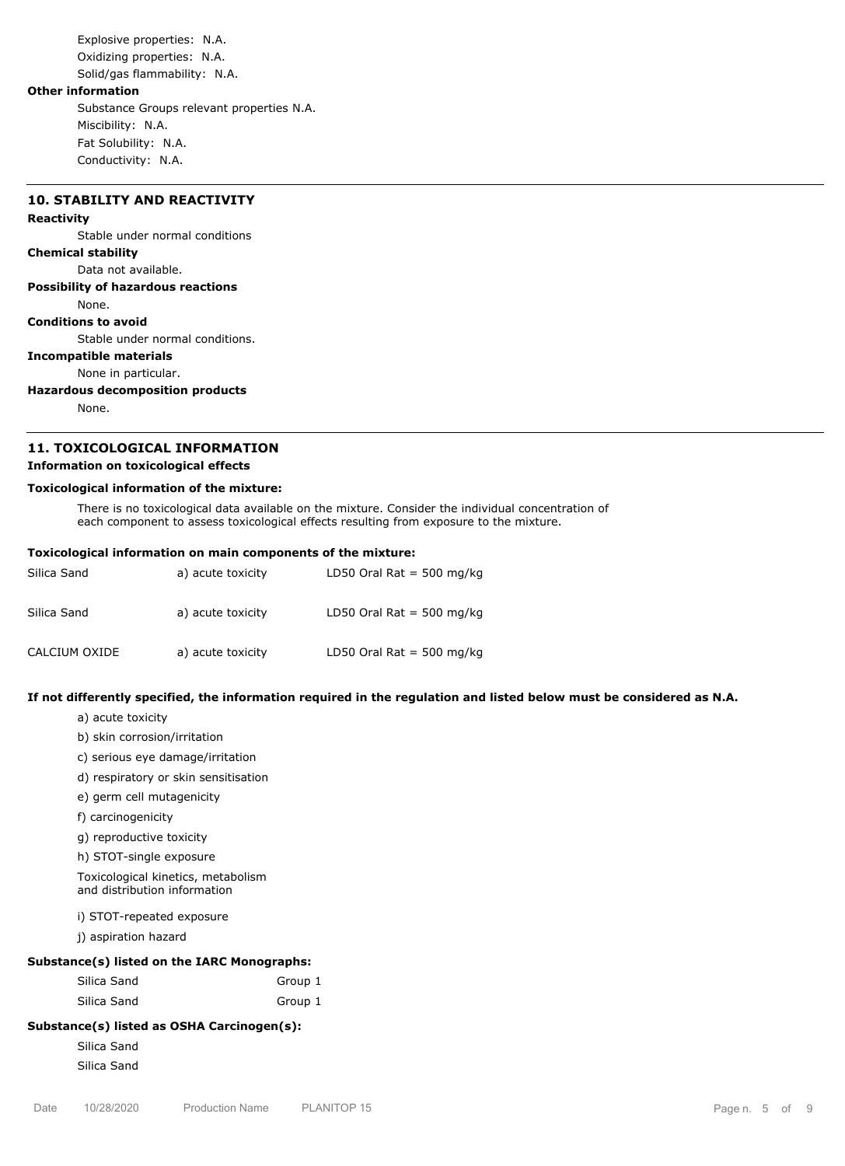Explosive properties: N.A. Oxidizing properties: N.A. Solid/gas flammability: N.A.

### **Other information**

Substance Groups relevant properties N.A. Miscibility: N.A. Fat Solubility: N.A. Conductivity: N.A.

## **10. STABILITY AND REACTIVITY**

#### **Reactivity**

Stable under normal conditions

## **Chemical stability**

Data not available.

**Possibility of hazardous reactions**

#### None.

**Conditions to avoid**

Stable under normal conditions.

## **Incompatible materials**

None in particular.

#### **Hazardous decomposition products**

None.

## **11. TOXICOLOGICAL INFORMATION**

#### **Information on toxicological effects**

#### **Toxicological information of the mixture:**

There is no toxicological data available on the mixture. Consider the individual concentration of each component to assess toxicological effects resulting from exposure to the mixture.

#### **Toxicological information on main components of the mixture:**

| Silica Sand   | a) acute toxicity | LD50 Oral Rat = 500 mg/kg |
|---------------|-------------------|---------------------------|
| Silica Sand   | a) acute toxicity | LD50 Oral Rat = 500 mg/kg |
| CALCIUM OXIDE | a) acute toxicity | LD50 Oral Rat = 500 mg/kg |

#### **If not differently specified, the information required in the regulation and listed below must be considered as N.A.**

a) acute toxicity

- b) skin corrosion/irritation
- c) serious eye damage/irritation
- d) respiratory or skin sensitisation
- e) germ cell mutagenicity
- f) carcinogenicity
- g) reproductive toxicity
- h) STOT-single exposure

Toxicological kinetics, metabolism and distribution information

i) STOT-repeated exposure

j) aspiration hazard

## **Substance(s) listed on the IARC Monographs:**

| Silica Sand | Group 1 |
|-------------|---------|
| Silica Sand | Group 1 |

## **Substance(s) listed as OSHA Carcinogen(s):**

Silica Sand Silica Sand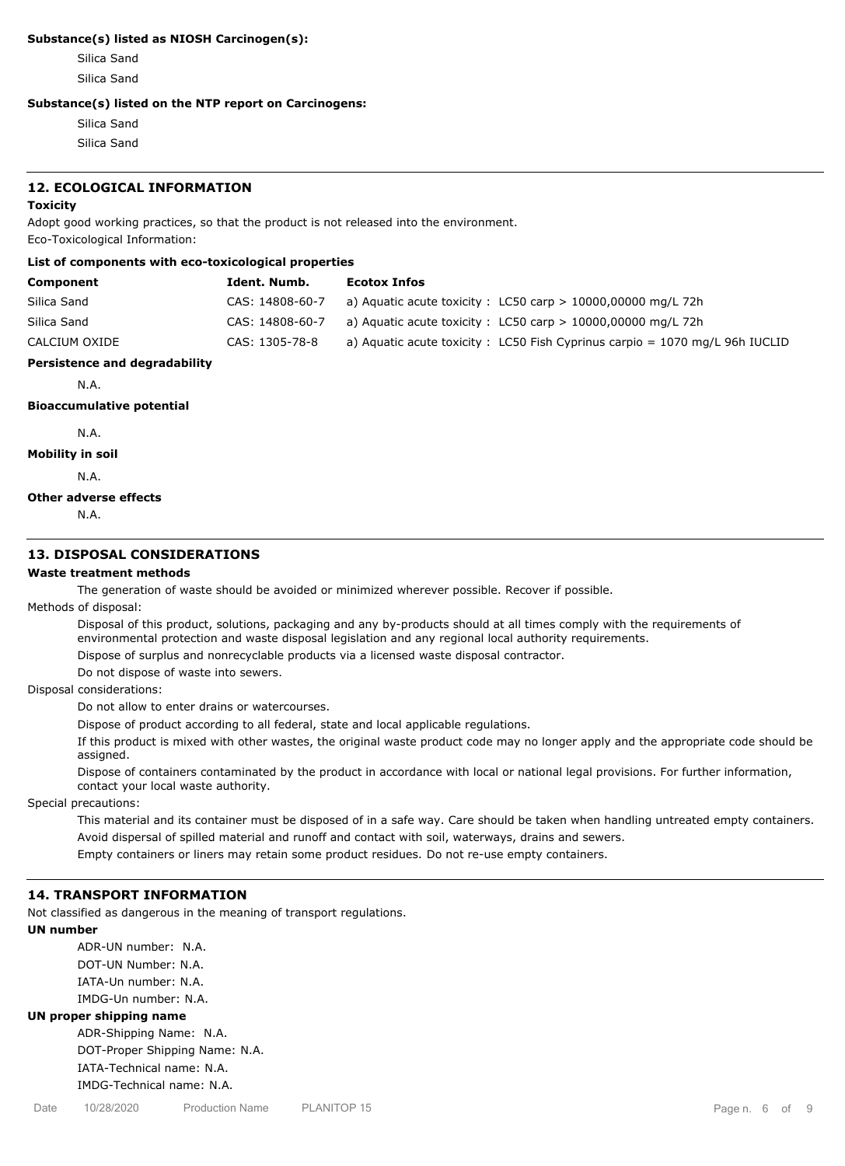#### **Substance(s) listed as NIOSH Carcinogen(s):**

Silica Sand Silica Sand

#### **Substance(s) listed on the NTP report on Carcinogens:**

Silica Sand Silica Sand

#### **12. ECOLOGICAL INFORMATION**

#### **Toxicity**

Adopt good working practices, so that the product is not released into the environment. Eco-Toxicological Information:

#### **List of components with eco-toxicological properties**

| Component     | Ident. Numb.    | <b>Ecotox Infos</b>                                                            |
|---------------|-----------------|--------------------------------------------------------------------------------|
| Silica Sand   | CAS: 14808-60-7 | a) Aquatic acute toxicity : LC50 carp $> 10000,00000$ mg/L 72h                 |
| Silica Sand   | CAS: 14808-60-7 | a) Aquatic acute toxicity : $LCS0$ carp $> 10000,00000$ mg/L 72h               |
| CALCIUM OXIDE | CAS: 1305-78-8  | a) Aquatic acute toxicity : LC50 Fish Cyprinus carpio = $1070$ mg/L 96h IUCLID |

## **Persistence and degradability**

N.A.

### **Bioaccumulative potential**

N.A.

#### **Mobility in soil**

N.A.

#### **Other adverse effects**

N.A.

## **13. DISPOSAL CONSIDERATIONS**

## **Waste treatment methods**

The generation of waste should be avoided or minimized wherever possible. Recover if possible.

Methods of disposal:

Disposal of this product, solutions, packaging and any by-products should at all times comply with the requirements of environmental protection and waste disposal legislation and any regional local authority requirements.

Dispose of surplus and nonrecyclable products via a licensed waste disposal contractor.

Do not dispose of waste into sewers.

Disposal considerations:

Do not allow to enter drains or watercourses.

Dispose of product according to all federal, state and local applicable regulations.

If this product is mixed with other wastes, the original waste product code may no longer apply and the appropriate code should be assigned.

Dispose of containers contaminated by the product in accordance with local or national legal provisions. For further information, contact your local waste authority.

Special precautions:

This material and its container must be disposed of in a safe way. Care should be taken when handling untreated empty containers. Avoid dispersal of spilled material and runoff and contact with soil, waterways, drains and sewers.

Empty containers or liners may retain some product residues. Do not re-use empty containers.

#### **14. TRANSPORT INFORMATION**

Not classified as dangerous in the meaning of transport regulations.

## **UN number**

ADR-UN number: N.A. DOT-UN Number: N.A. IATA-Un number: N.A. IMDG-Un number: N.A.

## **UN proper shipping name**

ADR-Shipping Name: N.A. DOT-Proper Shipping Name: N.A. IATA-Technical name: N.A. IMDG-Technical name: N.A.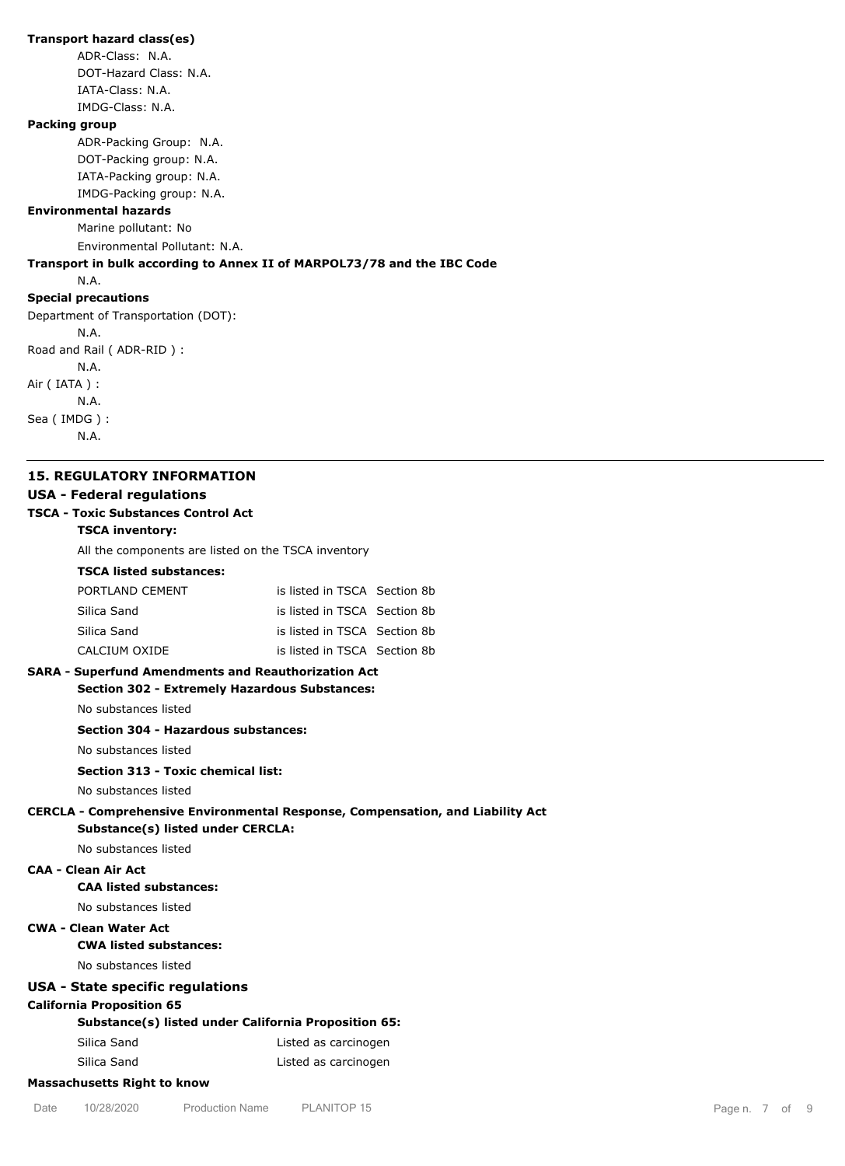### **Transport hazard class(es)**

ADR-Class: N.A. DOT-Hazard Class: N.A. IATA-Class: N.A. IMDG-Class: N.A.

#### **Packing group**

ADR-Packing Group: N.A. DOT-Packing group: N.A. IATA-Packing group: N.A. IMDG-Packing group: N.A.

#### **Environmental hazards**

Marine pollutant: No Environmental Pollutant: N.A.

## **Transport in bulk according to Annex II of MARPOL73/78 and the IBC Code**

N.A.

#### **Special precautions**

Department of Transportation (DOT): N.A. Road and Rail ( ADR-RID ) : N.A. Air ( IATA ) : N.A. Sea ( IMDG ) : N.A.

#### **15. REGULATORY INFORMATION**

### **USA - Federal regulations**

#### **TSCA - Toxic Substances Control Act**

**TSCA inventory:**

All the components are listed on the TSCA inventory

#### **TSCA listed substances:**

| PORTLAND CEMENT | is listed in TSCA Section 8b |  |
|-----------------|------------------------------|--|
| Silica Sand     | is listed in TSCA Section 8b |  |
| Silica Sand     | is listed in TSCA Section 8b |  |
| CALCIUM OXIDE   | is listed in TSCA Section 8b |  |

## **SARA - Superfund Amendments and Reauthorization Act**

## **Section 302 - Extremely Hazardous Substances:**

No substances listed

## **Section 304 - Hazardous substances:**

No substances listed

## **Section 313 - Toxic chemical list:**

No substances listed

## **CERCLA - Comprehensive Environmental Response, Compensation, and Liability Act Substance(s) listed under CERCLA:**

No substances listed

## **CAA - Clean Air Act**

## **CAA listed substances:**

No substances listed

## **CWA - Clean Water Act**

## **CWA listed substances:**

### No substances listed

## **USA - State specific regulations**

**California Proposition 65**

## **Substance(s) listed under California Proposition 65:**

| Silica Sand | Listed as carcinogen |
|-------------|----------------------|
| Silica Sand | Listed as carcinogen |

## **Massachusetts Right to know**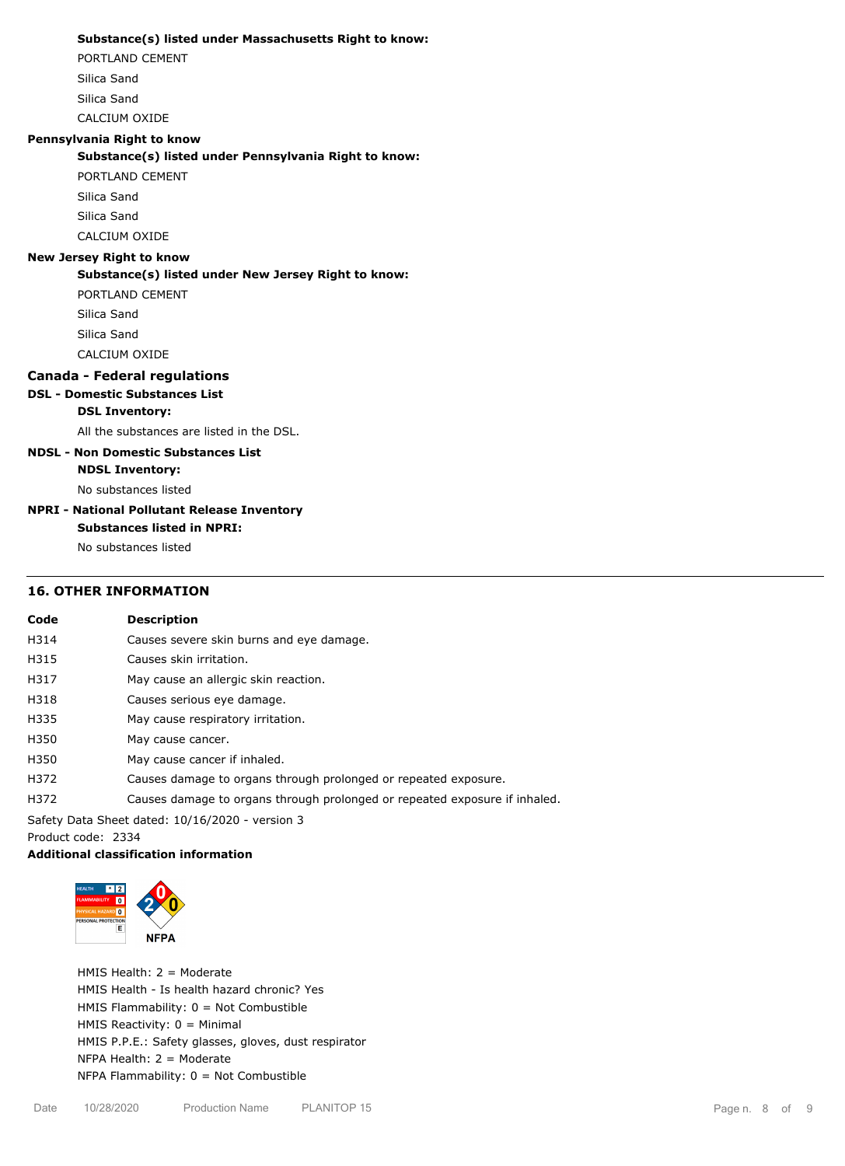#### **Substance(s) listed under Massachusetts Right to know:**

PORTLAND CEMENT

Silica Sand

Silica Sand

CALCIUM OXIDE

## **Pennsylvania Right to know**

**Substance(s) listed under Pennsylvania Right to know:**

PORTLAND CEMENT

Silica Sand Silica Sand

CALCIUM OXIDE

#### **New Jersey Right to know**

**Substance(s) listed under New Jersey Right to know:**

PORTLAND CEMENT Silica Sand Silica Sand CALCIUM OXIDE

## **Canada - Federal regulations**

## **DSL - Domestic Substances List**

## **DSL Inventory:**

All the substances are listed in the DSL.

## **NDSL - Non Domestic Substances List**

**NDSL Inventory:**

No substances listed

### **NPRI - National Pollutant Release Inventory Substances listed in NPRI:**

No substances listed

# **16. OTHER INFORMATION**

## **Code Description** H314 Causes severe skin burns and eye damage. H315 Causes skin irritation. H317 May cause an allergic skin reaction. H318 Causes serious eye damage. H335 May cause respiratory irritation. H350 May cause cancer. H350 May cause cancer if inhaled. H372 Causes damage to organs through prolonged or repeated exposure. H372 Causes damage to organs through prolonged or repeated exposure if inhaled.

Safety Data Sheet dated: 10/16/2020 - version 3

Product code: 2334

## **Additional classification information**



HMIS Health: 2 = Moderate HMIS Health - Is health hazard chronic? Yes HMIS Flammability: 0 = Not Combustible HMIS Reactivity: 0 = Minimal HMIS P.P.E.: Safety glasses, gloves, dust respirator NFPA Health: 2 = Moderate NFPA Flammability: 0 = Not Combustible